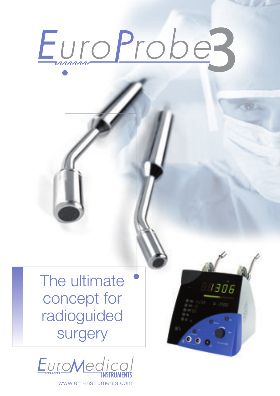# EuroProbes

1306

The ultimate concept for radioguided **surgery** 



www.em-instruments.com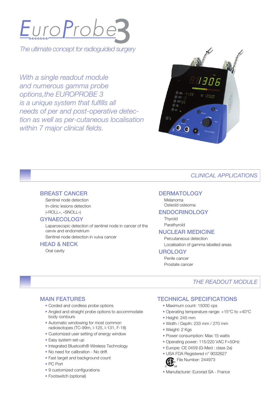

*The ultimate concept for radioguided surgery* 

*With a single readout module and numerous gamma probe options,the EUROPROBE 3 is a unique system that fulfills all needs of per and post-operative detection as well as per-cutaneous localisation within 7 major clinical fields.* 



# *CLINICAL APPLICATIONS*

#### BREAST CANCER

Sentinel node detection In-clinic lesions detection («ROLL», «SNOLL»)

#### **GYNAECOLOGY**

Laparoscopic detection of sentinel node in cancer of the cervix and endometrium Sentinel node detection in vulva cancer

#### HEAD & NECK

Oral cavity

### **DERMATOLOGY**

Melanoma Osteoïd osteoma

#### ENDOCRINOLOGY

**Thyroïd** Parathyroïd

#### NUCLEAR MEDICINE

Percutaneous detection Localisation of gamma labelled areas

#### UROLOGY

Penile cancer Prostate cancer

## *THE READOUT MODULE*

## MAIN FEATURES

- Corded and cordless probe options
- Angled and straight probe options to accommodate body contours
- Automatic windowing for most common radioisotopes (TC-99m, I-125, I-131, F-18)
- Customized user setting of energy window
- Easy system set-up
- Integrated Bluetooth® Wireless Technology
- No need for calibration No drift
- Fast target and background count
- PC Port
- 9 customized configurations
- Footswitch (optional)

# TECHNICAL SPECIFICATIONS

- Maximum count: 15000 cps
- Operating temperature range: +15°C to +40°C
- Height: 245 mm
- Width / Depth: 233 mm / 270 mm
- Weight: 2 Kgs
- Power consumption: Max 15 watts
- Operating power: 115/220 VAC F=50Hz
- Europe: CE 0459 (G-Med : class 2a)
- USA FDA Registered n° 9032627 File Number: 244973



• Manufacturer: Eurorad SA - France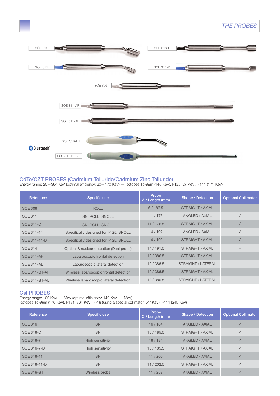

### CdTe/CZT PROBES (Cadmium Telluride/Cadmium Zinc Telluride)

Energy range: 20—364 KeV (optimal efficiency: 20—170 KeV) — Isotopes Tc-99m (140 KeV), I-125 (27 KeV), I-111 (171 KeV)

| Reference            | Specific use                             | Probe<br>Ø / Length (mm) | <b>Shape / Detection</b>  | <b>Optional Collimator</b> |
|----------------------|------------------------------------------|--------------------------|---------------------------|----------------------------|
| SOE 306              | <b>ROLL</b>                              | 6/186.5                  | STRAIGHT / AXIAL          |                            |
| <b>SOE 311</b>       | SN, ROLL, SNOLL                          | 11/175                   | ANGLED / AXIAL            |                            |
| <b>SOE 311-D</b>     | SN, ROLL, SNOLL                          | 11/176.5                 | STRAIGHT / AXIAL          | √                          |
| SOE 311-14           | Specifically designed for I-125, SNOLL   | 14/197                   | ANGLED / AXIAL            | J                          |
| SOE 311-14-D         | Specifically designed for I-125, SNOLL   | 14/199                   | STRAIGHT / AXIAL          |                            |
| <b>SOE 314</b>       | Optical & nuclear detection (Dual probe) | 14/191.5                 | STRAIGHT / AXIAL          |                            |
| <b>SOE 311-AF</b>    | Laparoscopic frontal detection           | 10/386.5                 | <b>STRAIGHT / AXIAL</b>   |                            |
| <b>SOE 311-AL</b>    | Laparoscopic lateral detection           | 10/386.5                 | <b>STRAIGHT / LATERAL</b> |                            |
| <b>SOE 311-BT-AF</b> | Wireless laparoscopic frontal detection  | 10/386.5                 | <b>STRAIGHT / AXIAL</b>   |                            |
| SOE 311-BT-AL        | Wireless laparoscopic lateral detection  | 10/386.5                 | STRAIGHT / LATERAL        |                            |

### CsI PROBES

Energy range: 100 KeV—1 MeV (optimal efficiency: 140 KeV—1 MeV) Isotopes Tc-99m (140 KeV), I-131 (364 KeV), F-18 (using a special collimator, 511KeV), I-111 (245 KeV)

| Reference         | Specific use     | Probe<br>Ø / Length (mm) | Shape / Detection     | <b>Optional Collimator</b> |
|-------------------|------------------|--------------------------|-----------------------|----------------------------|
| <b>SOE 316</b>    | <b>SN</b>        | 16/184                   | <b>ANGLED / AXIAL</b> |                            |
| SOE 316-D         | <b>SN</b>        | 16/185.5                 | STRAIGHT / AXIAL      |                            |
| SOE 316-7         | High sensitivity | 16/184                   | <b>ANGLED / AXIAL</b> |                            |
| SOE 316-7-D       | High sensitivity | 16/185.5                 | STRAIGHT / AXIAL      |                            |
| SOE 316-11        | <b>SN</b>        | 11/200                   | <b>ANGLED / AXIAL</b> |                            |
| SOE 316-11-D      | <b>SN</b>        | 11/202.5                 | STRAIGHT / AXIAL      |                            |
| <b>SOE 316-BT</b> | Wireless probe   | 11/259                   | <b>ANGLED / AXIAL</b> |                            |